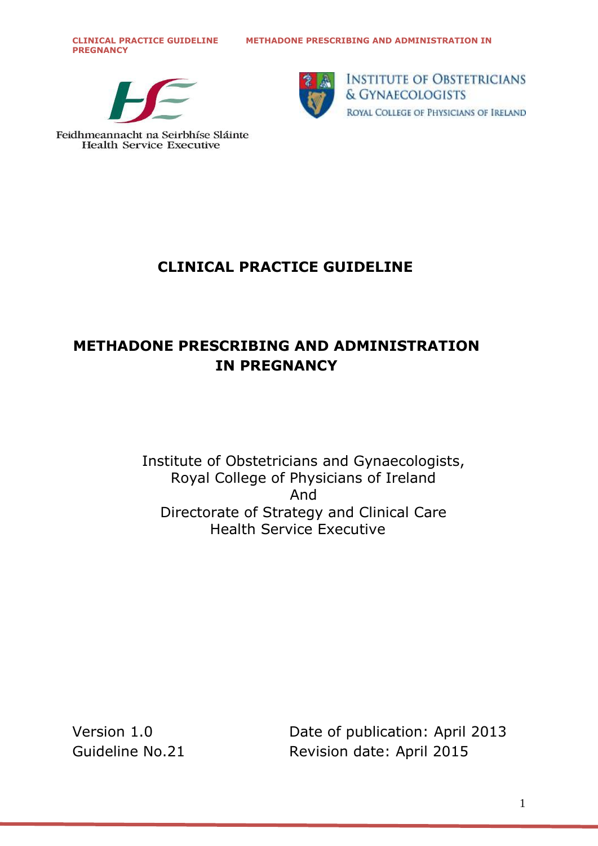**PREGNANCY**





**INSTITUTE OF OBSTETRICIANS** & GYNAECOLOGISTS ROYAL COLLEGE OF PHYSICIANS OF IRELAND

Feidhmeannacht na Seirbhíse Sláinte **Health Service Executive** 

# **CLINICAL PRACTICE GUIDELINE**

# **METHADONE PRESCRIBING AND ADMINISTRATION IN PREGNANCY**

Institute of Obstetricians and Gynaecologists, Royal College of Physicians of Ireland And Directorate of Strategy and Clinical Care Health Service Executive

Version 1.0 Date of publication: April 2013 Guideline No.21 Revision date: April 2015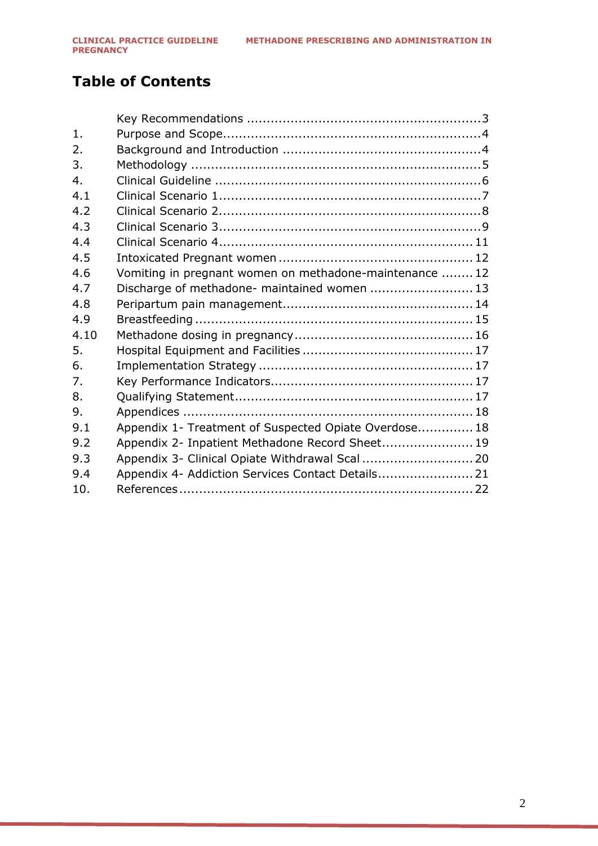# **Table of Contents**

| $\mathbf{1}$ . |                                                         |  |
|----------------|---------------------------------------------------------|--|
| 2.             |                                                         |  |
| 3.             |                                                         |  |
| 4.             |                                                         |  |
| 4.1            |                                                         |  |
| 4.2            |                                                         |  |
| 4.3            |                                                         |  |
| 4.4            |                                                         |  |
| 4.5            |                                                         |  |
| 4.6            | Vomiting in pregnant women on methadone-maintenance  12 |  |
| 4.7            | Discharge of methadone- maintained women  13            |  |
| 4.8            |                                                         |  |
| 4.9            |                                                         |  |
| 4.10           |                                                         |  |
| 5.             |                                                         |  |
| 6.             |                                                         |  |
| 7.             |                                                         |  |
| 8.             |                                                         |  |
| 9.             |                                                         |  |
| 9.1            | Appendix 1- Treatment of Suspected Opiate Overdose 18   |  |
| 9.2            | Appendix 2- Inpatient Methadone Record Sheet 19         |  |
| 9.3            |                                                         |  |
| 9.4            | Appendix 4- Addiction Services Contact Details 21       |  |
| 10.            |                                                         |  |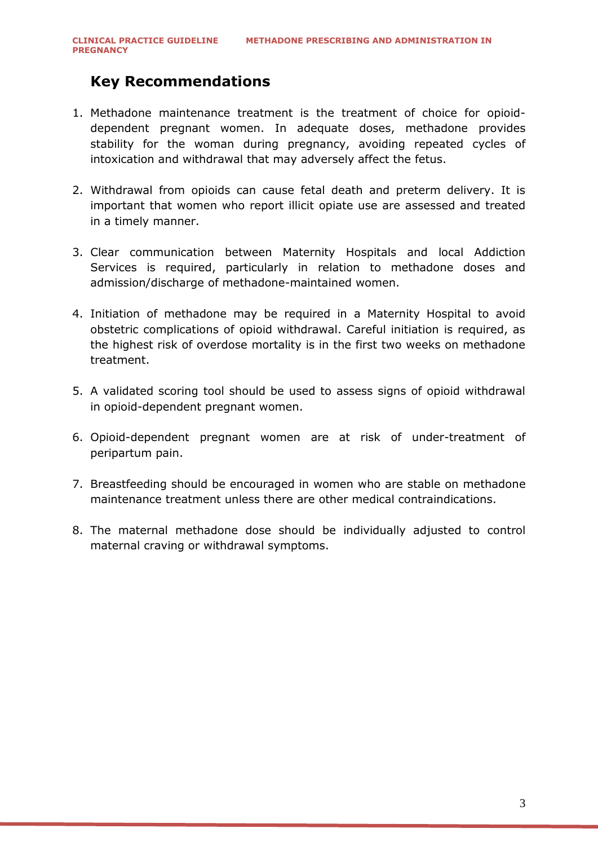## <span id="page-2-0"></span>**Key Recommendations**

- 1. Methadone maintenance treatment is the treatment of choice for opioiddependent pregnant women. In adequate doses, methadone provides stability for the woman during pregnancy, avoiding repeated cycles of intoxication and withdrawal that may adversely affect the fetus.
- 2. Withdrawal from opioids can cause fetal death and preterm delivery. It is important that women who report illicit opiate use are assessed and treated in a timely manner.
- 3. Clear communication between Maternity Hospitals and local Addiction Services is required, particularly in relation to methadone doses and admission/discharge of methadone-maintained women.
- 4. Initiation of methadone may be required in a Maternity Hospital to avoid obstetric complications of opioid withdrawal. Careful initiation is required, as the highest risk of overdose mortality is in the first two weeks on methadone treatment.
- 5. A validated scoring tool should be used to assess signs of opioid withdrawal in opioid-dependent pregnant women.
- 6. Opioid-dependent pregnant women are at risk of under-treatment of peripartum pain.
- 7. Breastfeeding should be encouraged in women who are stable on methadone maintenance treatment unless there are other medical contraindications.
- 8. The maternal methadone dose should be individually adjusted to control maternal craving or withdrawal symptoms.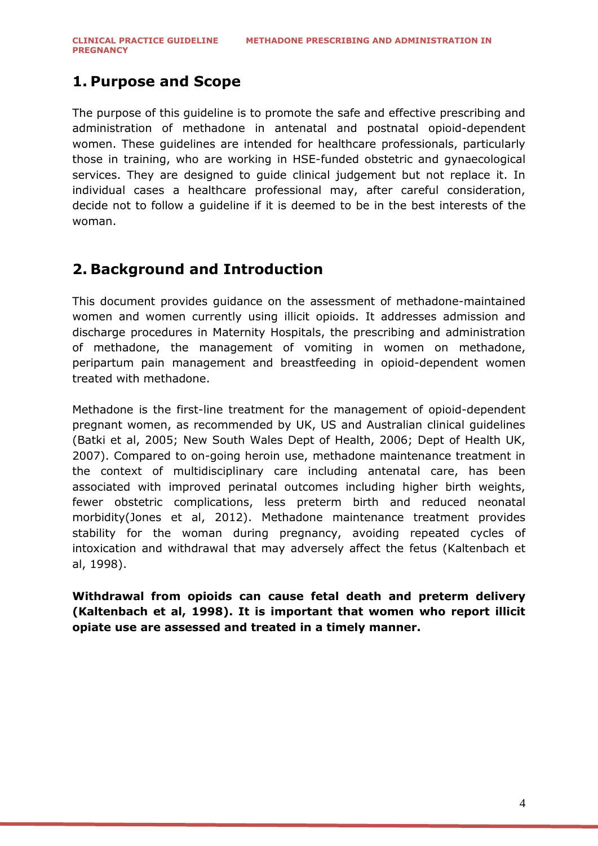## <span id="page-3-0"></span>**1. Purpose and Scope**

The purpose of this guideline is to promote the safe and effective prescribing and administration of methadone in antenatal and postnatal opioid-dependent women. These guidelines are intended for healthcare professionals, particularly those in training, who are working in HSE-funded obstetric and gynaecological services. They are designed to guide clinical judgement but not replace it. In individual cases a healthcare professional may, after careful consideration, decide not to follow a guideline if it is deemed to be in the best interests of the woman.

### <span id="page-3-1"></span>**2. Background and Introduction**

This document provides guidance on the assessment of methadone-maintained women and women currently using illicit opioids. It addresses admission and discharge procedures in Maternity Hospitals, the prescribing and administration of methadone, the management of vomiting in women on methadone, peripartum pain management and breastfeeding in opioid-dependent women treated with methadone.

Methadone is the first-line treatment for the management of opioid-dependent pregnant women, as recommended by UK, US and Australian clinical guidelines (Batki et al, 2005; New South Wales Dept of Health, 2006; Dept of Health UK, 2007). Compared to on-going heroin use, methadone maintenance treatment in the context of multidisciplinary care including antenatal care, has been associated with improved perinatal outcomes including higher birth weights, fewer obstetric complications, less preterm birth and reduced neonatal morbidity(Jones et al, 2012). Methadone maintenance treatment provides stability for the woman during pregnancy, avoiding repeated cycles of intoxication and withdrawal that may adversely affect the fetus (Kaltenbach et al, 1998).

**Withdrawal from opioids can cause fetal death and preterm delivery (Kaltenbach et al, 1998). It is important that women who report illicit opiate use are assessed and treated in a timely manner.**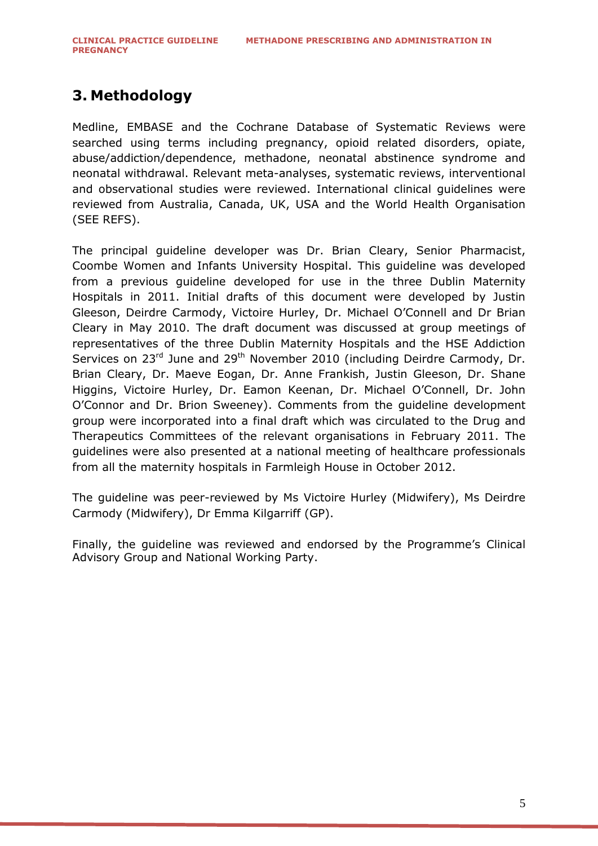## <span id="page-4-0"></span>**3. Methodology**

Medline, EMBASE and the Cochrane Database of Systematic Reviews were searched using terms including pregnancy, opioid related disorders, opiate, abuse/addiction/dependence, methadone, neonatal abstinence syndrome and neonatal withdrawal. Relevant meta-analyses, systematic reviews, interventional and observational studies were reviewed. International clinical guidelines were reviewed from Australia, Canada, UK, USA and the World Health Organisation (SEE REFS).

The principal guideline developer was Dr. Brian Cleary, Senior Pharmacist, Coombe Women and Infants University Hospital. This guideline was developed from a previous guideline developed for use in the three Dublin Maternity Hospitals in 2011. Initial drafts of this document were developed by Justin Gleeson, Deirdre Carmody, Victoire Hurley, Dr. Michael O'Connell and Dr Brian Cleary in May 2010. The draft document was discussed at group meetings of representatives of the three Dublin Maternity Hospitals and the HSE Addiction Services on 23<sup>rd</sup> June and 29<sup>th</sup> November 2010 (including Deirdre Carmody, Dr. Brian Cleary, Dr. Maeve Eogan, Dr. Anne Frankish, Justin Gleeson, Dr. Shane Higgins, Victoire Hurley, Dr. Eamon Keenan, Dr. Michael O'Connell, Dr. John O'Connor and Dr. Brion Sweeney). Comments from the guideline development group were incorporated into a final draft which was circulated to the Drug and Therapeutics Committees of the relevant organisations in February 2011. The guidelines were also presented at a national meeting of healthcare professionals from all the maternity hospitals in Farmleigh House in October 2012.

The guideline was peer-reviewed by Ms Victoire Hurley (Midwifery), Ms Deirdre Carmody (Midwifery), Dr Emma Kilgarriff (GP).

Finally, the guideline was reviewed and endorsed by the Programme's Clinical Advisory Group and National Working Party.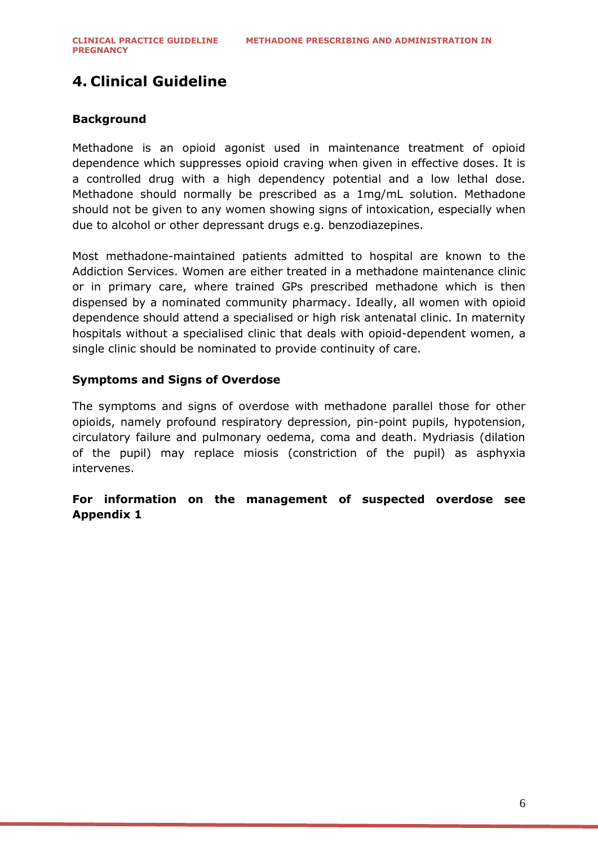# **4. Clinical Guideline**

#### **Background**

Methadone is an opioid agonist used in maintenance treatment of opioid dependence which suppresses opioid craving when given in effective doses. It is a controlled drug with a high dependency potential and a low lethal dose. Methadone should normally be prescribed as a 1mg/mL solution. Methadone should not be given to any women showing signs of intoxication, especially when due to alcohol or other depressant drugs e.g. benzodiazepines.

Most methadone-maintained patients admitted to hospital are known to the Addiction Services. Women are either treated in a methadone maintenance clinic or in primary care, where trained GPs prescribed methadone which is then dispensed by a nominated community pharmacy. Ideally, all women with opioid dependence should attend a specialised or high risk antenatal clinic. In maternity hospitals without a specialised clinic that deals with opioid-dependent women, a single clinic should be nominated to provide continuity of care.

#### **Symptoms and Signs of Overdose**

The symptoms and signs of overdose with methadone parallel those for other opioids, namely profound respiratory depression, pin-point pupils, hypotension, circulatory failure and pulmonary oedema, coma and death. Mydriasis (dilation of the pupil) may replace miosis (constriction of the pupil) as asphyxia intervenes.

#### **For information on the management of suspected overdose see Appendix 1**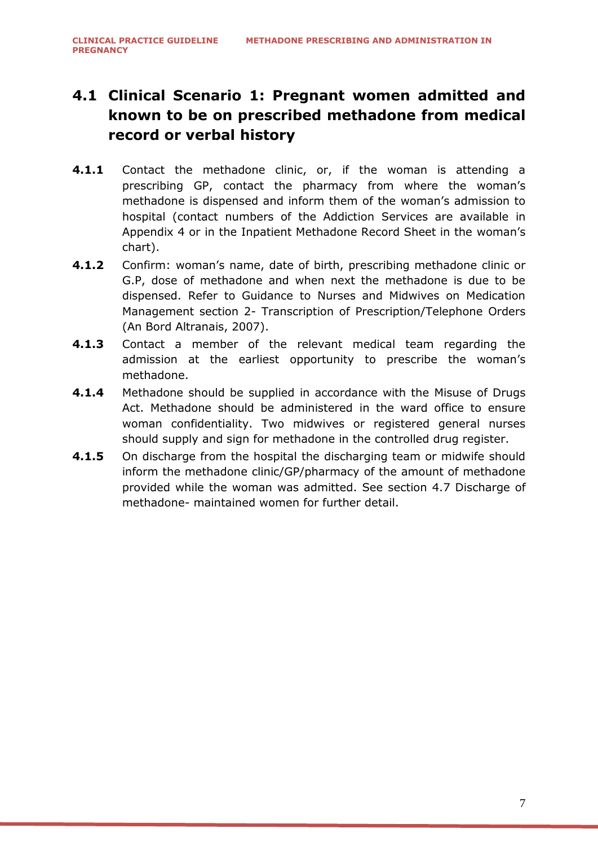# <span id="page-6-0"></span>**4.1 Clinical Scenario 1: Pregnant women admitted and known to be on prescribed methadone from medical record or verbal history**

- **4.1.1** Contact the methadone clinic, or, if the woman is attending a prescribing GP, contact the pharmacy from where the woman's methadone is dispensed and inform them of the woman's admission to hospital (contact numbers of the Addiction Services are available in Appendix 4 or in the Inpatient Methadone Record Sheet in the woman's chart).
- **4.1.2** Confirm: woman's name, date of birth, prescribing methadone clinic or G.P, dose of methadone and when next the methadone is due to be dispensed. Refer to Guidance to Nurses and Midwives on Medication Management section 2- Transcription of Prescription/Telephone Orders (An Bord Altranais, 2007).
- **4.1.3** Contact a member of the relevant medical team regarding the admission at the earliest opportunity to prescribe the woman's methadone.
- **4.1.4** Methadone should be supplied in accordance with the Misuse of Drugs Act. Methadone should be administered in the ward office to ensure woman confidentiality. Two midwives or registered general nurses should supply and sign for methadone in the controlled drug register.
- **4.1.5** On discharge from the hospital the discharging team or midwife should inform the methadone clinic/GP/pharmacy of the amount of methadone provided while the woman was admitted. See section [4.7](#page-12-0) [Discharge of](#page-12-0)  methadone- [maintained women](#page-12-0) for further detail.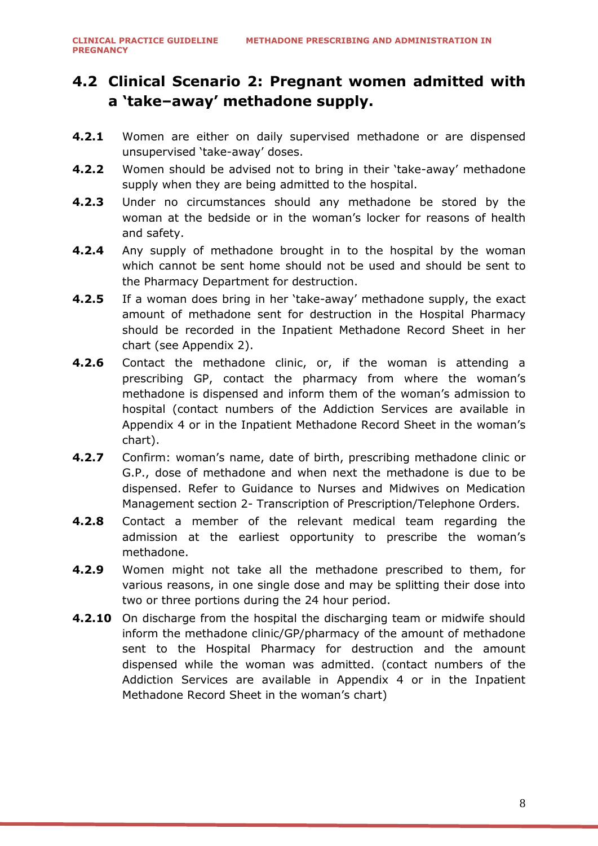## <span id="page-7-0"></span>**4.2 Clinical Scenario 2: Pregnant women admitted with a "take–away" methadone supply.**

- **4.2.1** Women are either on daily supervised methadone or are dispensed unsupervised 'take-away' doses.
- **4.2.2** Women should be advised not to bring in their 'take-away' methadone supply when they are being admitted to the hospital.
- **4.2.3** Under no circumstances should any methadone be stored by the woman at the bedside or in the woman's locker for reasons of health and safety.
- **4.2.4** Any supply of methadone brought in to the hospital by the woman which cannot be sent home should not be used and should be sent to the Pharmacy Department for destruction.
- **4.2.5** If a woman does bring in her 'take-away' methadone supply, the exact amount of methadone sent for destruction in the Hospital Pharmacy should be recorded in the Inpatient Methadone Record Sheet in her chart (see Appendix 2).
- **4.2.6** Contact the methadone clinic, or, if the woman is attending a prescribing GP, contact the pharmacy from where the woman's methadone is dispensed and inform them of the woman's admission to hospital (contact numbers of the Addiction Services are available in Appendix 4 or in the Inpatient Methadone Record Sheet in the woman's chart).
- **4.2.7** Confirm: woman's name, date of birth, prescribing methadone clinic or G.P., dose of methadone and when next the methadone is due to be dispensed. Refer to Guidance to Nurses and Midwives on Medication Management section 2- Transcription of Prescription/Telephone Orders.
- **4.2.8** Contact a member of the relevant medical team regarding the admission at the earliest opportunity to prescribe the woman's methadone.
- **4.2.9** Women might not take all the methadone prescribed to them, for various reasons, in one single dose and may be splitting their dose into two or three portions during the 24 hour period.
- **4.2.10** On discharge from the hospital the discharging team or midwife should inform the methadone clinic/GP/pharmacy of the amount of methadone sent to the Hospital Pharmacy for destruction and the amount dispensed while the woman was admitted. (contact numbers of the Addiction Services are available in Appendix 4 or in the Inpatient Methadone Record Sheet in the woman's chart)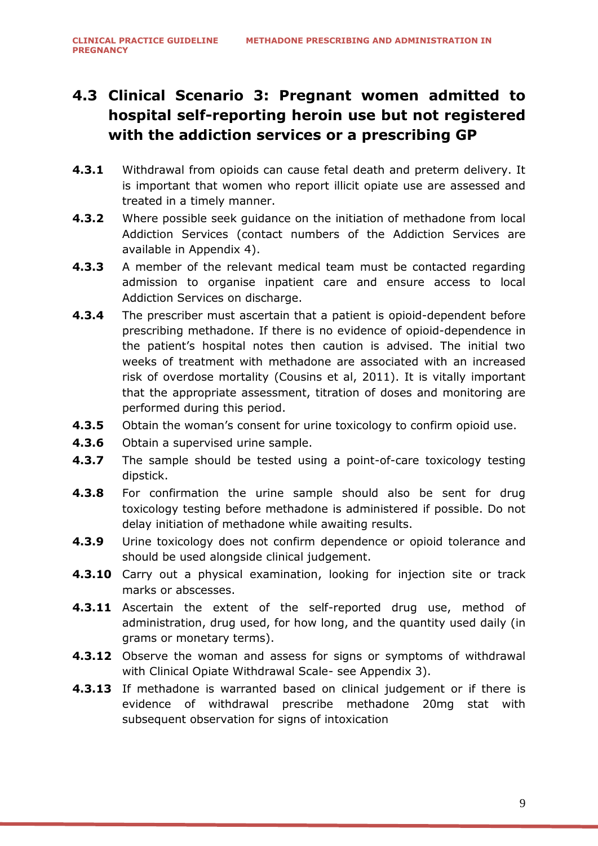# <span id="page-8-0"></span>**4.3 Clinical Scenario 3: Pregnant women admitted to hospital self-reporting heroin use but not registered with the addiction services or a prescribing GP**

- **4.3.1** Withdrawal from opioids can cause fetal death and preterm delivery. It is important that women who report illicit opiate use are assessed and treated in a timely manner.
- **4.3.2** Where possible seek guidance on the initiation of methadone from local Addiction Services (contact numbers of the Addiction Services are available in Appendix 4).
- **4.3.3** A member of the relevant medical team must be contacted regarding admission to organise inpatient care and ensure access to local Addiction Services on discharge.
- **4.3.4** The prescriber must ascertain that a patient is opioid-dependent before prescribing methadone. If there is no evidence of opioid-dependence in the patient's hospital notes then caution is advised. The initial two weeks of treatment with methadone are associated with an increased risk of overdose mortality (Cousins et al, 2011). It is vitally important that the appropriate assessment, titration of doses and monitoring are performed during this period.
- **4.3.5** Obtain the woman's consent for urine toxicology to confirm opioid use.
- **4.3.6** Obtain a supervised urine sample.
- **4.3.7** The sample should be tested using a point-of-care toxicology testing dipstick.
- **4.3.8** For confirmation the urine sample should also be sent for drug toxicology testing before methadone is administered if possible. Do not delay initiation of methadone while awaiting results.
- **4.3.9** Urine toxicology does not confirm dependence or opioid tolerance and should be used alongside clinical judgement.
- **4.3.10** Carry out a physical examination, looking for injection site or track marks or abscesses.
- **4.3.11** Ascertain the extent of the self-reported drug use, method of administration, drug used, for how long, and the quantity used daily (in grams or monetary terms).
- **4.3.12** Observe the woman and assess for signs or symptoms of withdrawal with Clinical Opiate Withdrawal Scale- see Appendix 3).
- **4.3.13** If methadone is warranted based on clinical judgement or if there is evidence of withdrawal prescribe methadone 20mg stat with subsequent observation for signs of intoxication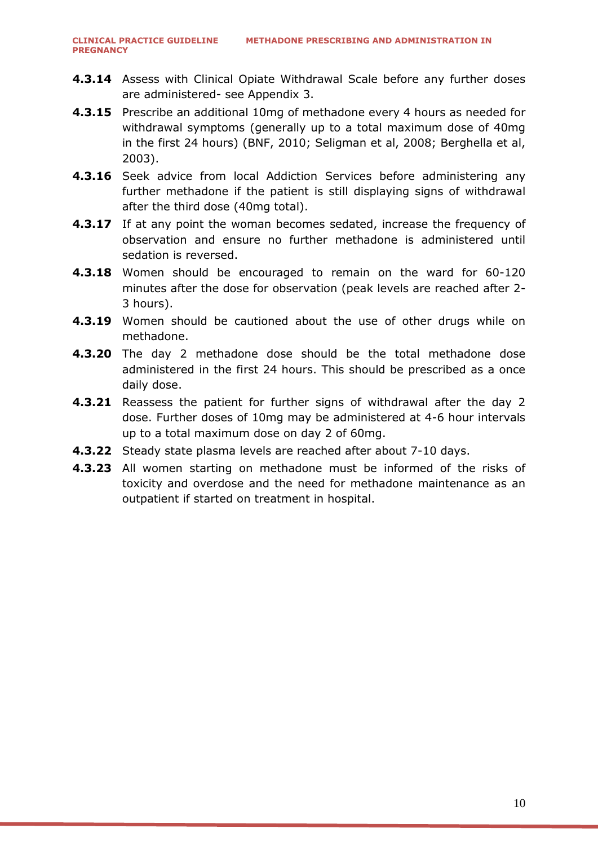- **4.3.14** Assess with Clinical Opiate Withdrawal Scale before any further doses are administered- see Appendix 3.
- **4.3.15** Prescribe an additional 10mg of methadone every 4 hours as needed for withdrawal symptoms (generally up to a total maximum dose of 40mg in the first 24 hours) (BNF, 2010; Seligman et al, 2008; Berghella et al, 2003).
- **4.3.16** Seek advice from local Addiction Services before administering any further methadone if the patient is still displaying signs of withdrawal after the third dose (40mg total).
- **4.3.17** If at any point the woman becomes sedated, increase the frequency of observation and ensure no further methadone is administered until sedation is reversed.
- **4.3.18** Women should be encouraged to remain on the ward for 60-120 minutes after the dose for observation (peak levels are reached after 2- 3 hours).
- **4.3.19** Women should be cautioned about the use of other drugs while on methadone.
- **4.3.20** The day 2 methadone dose should be the total methadone dose administered in the first 24 hours. This should be prescribed as a once daily dose.
- **4.3.21** Reassess the patient for further signs of withdrawal after the day 2 dose. Further doses of 10mg may be administered at 4-6 hour intervals up to a total maximum dose on day 2 of 60mg.
- **4.3.22** Steady state plasma levels are reached after about 7-10 days.
- **4.3.23** All women starting on methadone must be informed of the risks of toxicity and overdose and the need for methadone maintenance as an outpatient if started on treatment in hospital.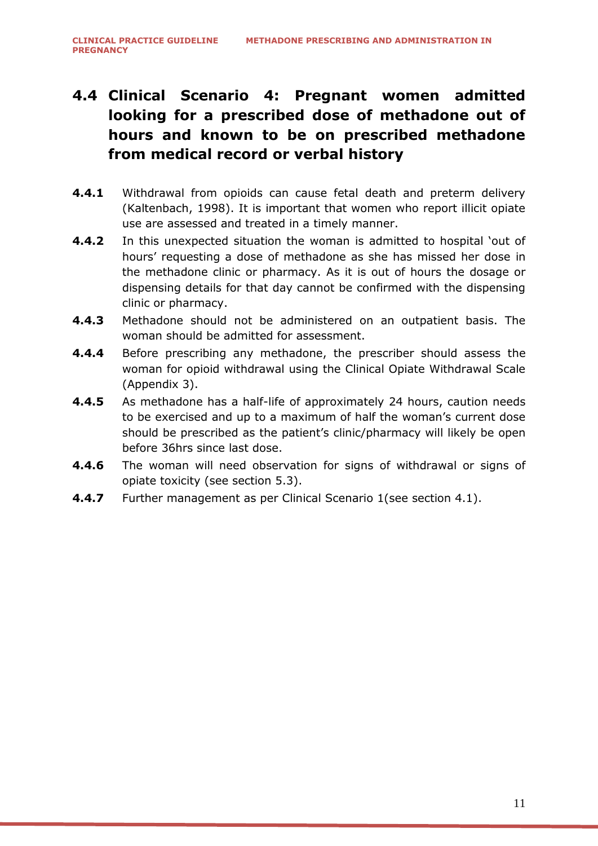# <span id="page-10-0"></span>**4.4 Clinical Scenario 4: Pregnant women admitted looking for a prescribed dose of methadone out of hours and known to be on prescribed methadone from medical record or verbal history**

- **4.4.1** Withdrawal from opioids can cause fetal death and preterm delivery (Kaltenbach, 1998). It is important that women who report illicit opiate use are assessed and treated in a timely manner.
- **4.4.2** In this unexpected situation the woman is admitted to hospital 'out of hours' requesting a dose of methadone as she has missed her dose in the methadone clinic or pharmacy. As it is out of hours the dosage or dispensing details for that day cannot be confirmed with the dispensing clinic or pharmacy.
- **4.4.3** Methadone should not be administered on an outpatient basis. The woman should be admitted for assessment.
- **4.4.4** Before prescribing any methadone, the prescriber should assess the woman for opioid withdrawal using the Clinical Opiate Withdrawal Scale (Appendix 3).
- **4.4.5** As methadone has a half-life of approximately 24 hours, caution needs to be exercised and up to a maximum of half the woman's current dose should be prescribed as the patient's clinic/pharmacy will likely be open before 36hrs since last dose.
- **4.4.6** The woman will need observation for signs of withdrawal or signs of opiate toxicity (see section 5.3).
- **4.4.7** Further management as per Clinical Scenario 1(see section [4.1\)](#page-6-0).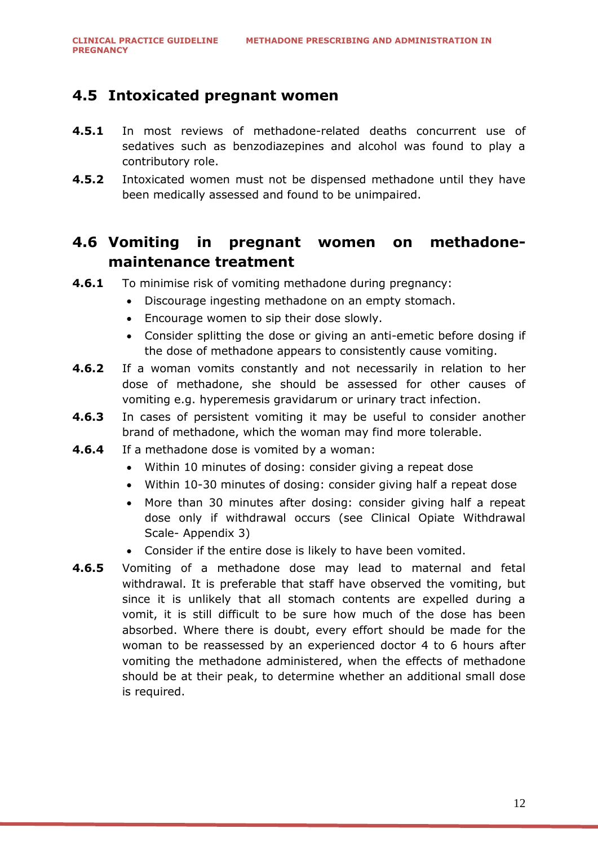### <span id="page-11-0"></span>**4.5 Intoxicated pregnant women**

- **4.5.1** In most reviews of methadone-related deaths concurrent use of sedatives such as benzodiazepines and alcohol was found to play a contributory role.
- **4.5.2** Intoxicated women must not be dispensed methadone until they have been medically assessed and found to be unimpaired.

### <span id="page-11-1"></span>**4.6 Vomiting in pregnant women on methadonemaintenance treatment**

- **4.6.1** To minimise risk of vomiting methadone during pregnancy:
	- Discourage ingesting methadone on an empty stomach.
	- Encourage women to sip their dose slowly.
	- Consider splitting the dose or giving an anti-emetic before dosing if the dose of methadone appears to consistently cause vomiting.
- **4.6.2** If a woman vomits constantly and not necessarily in relation to her dose of methadone, she should be assessed for other causes of vomiting e.g. hyperemesis gravidarum or urinary tract infection.
- **4.6.3** In cases of persistent vomiting it may be useful to consider another brand of methadone, which the woman may find more tolerable.
- **4.6.4** If a methadone dose is vomited by a woman:
	- Within 10 minutes of dosing: consider giving a repeat dose
	- Within 10-30 minutes of dosing: consider giving half a repeat dose
	- More than 30 minutes after dosing: consider giving half a repeat dose only if withdrawal occurs (see Clinical Opiate Withdrawal Scale- Appendix 3)
	- Consider if the entire dose is likely to have been vomited.
- **4.6.5** Vomiting of a methadone dose may lead to maternal and fetal withdrawal. It is preferable that staff have observed the vomiting, but since it is unlikely that all stomach contents are expelled during a vomit, it is still difficult to be sure how much of the dose has been absorbed. Where there is doubt, every effort should be made for the woman to be reassessed by an experienced doctor 4 to 6 hours after vomiting the methadone administered, when the effects of methadone should be at their peak, to determine whether an additional small dose is required.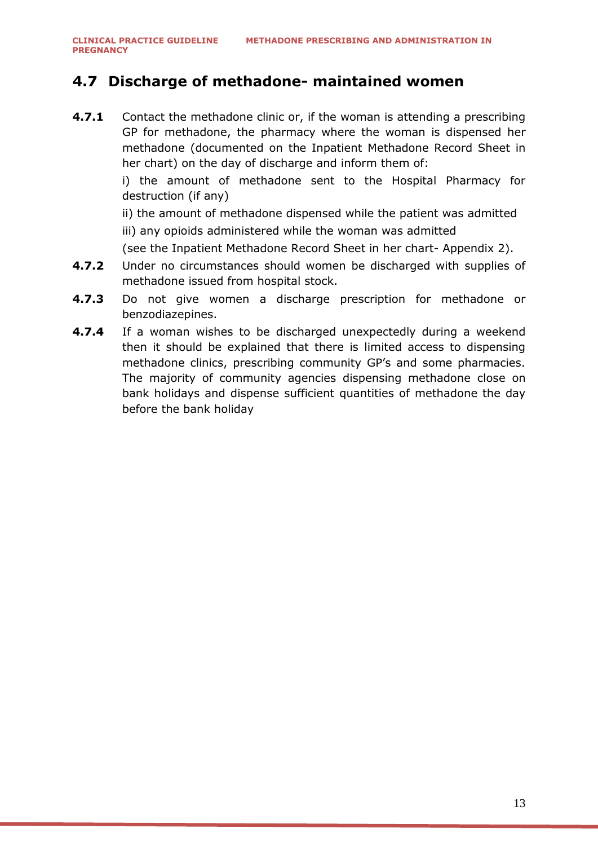### <span id="page-12-0"></span>**4.7 Discharge of methadone- maintained women**

**4.7.1** Contact the methadone clinic or, if the woman is attending a prescribing GP for methadone, the pharmacy where the woman is dispensed her methadone (documented on the Inpatient Methadone Record Sheet in her chart) on the day of discharge and inform them of:

> i) the amount of methadone sent to the Hospital Pharmacy for destruction (if any)

ii) the amount of methadone dispensed while the patient was admitted iii) any opioids administered while the woman was admitted

(see the Inpatient Methadone Record Sheet in her chart- Appendix 2).

- **4.7.2** Under no circumstances should women be discharged with supplies of methadone issued from hospital stock.
- **4.7.3** Do not give women a discharge prescription for methadone or benzodiazepines.
- **4.7.4** If a woman wishes to be discharged unexpectedly during a weekend then it should be explained that there is limited access to dispensing methadone clinics, prescribing community GP's and some pharmacies. The majority of community agencies dispensing methadone close on bank holidays and dispense sufficient quantities of methadone the day before the bank holiday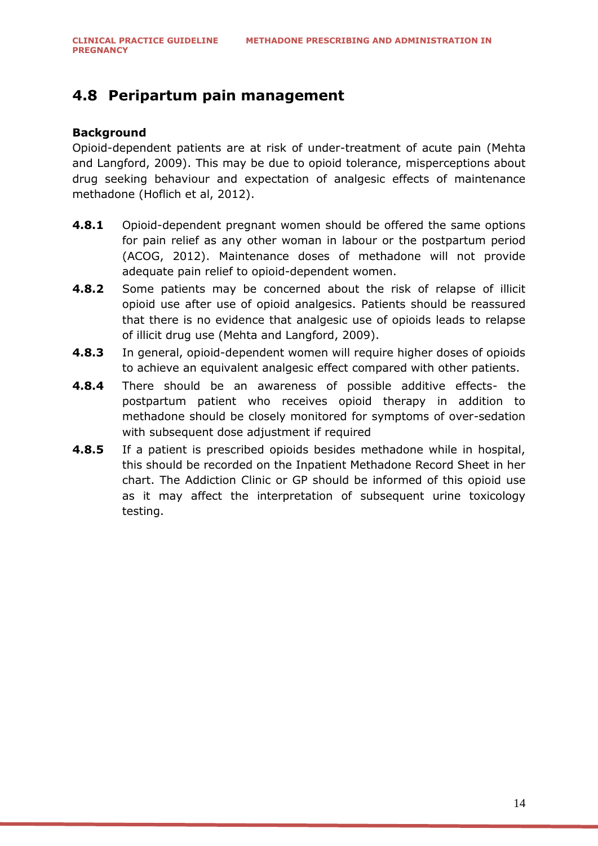## <span id="page-13-0"></span>**4.8 Peripartum pain management**

#### **Background**

Opioid-dependent patients are at risk of under-treatment of acute pain (Mehta and Langford, 2009). This may be due to opioid tolerance, misperceptions about drug seeking behaviour and expectation of analgesic effects of maintenance methadone (Hoflich et al, 2012).

- **4.8.1** Opioid-dependent pregnant women should be offered the same options for pain relief as any other woman in labour or the postpartum period (ACOG, 2012). Maintenance doses of methadone will not provide adequate pain relief to opioid-dependent women.
- **4.8.2** Some patients may be concerned about the risk of relapse of illicit opioid use after use of opioid analgesics. Patients should be reassured that there is no evidence that analgesic use of opioids leads to relapse of illicit drug use (Mehta and Langford, 2009).
- **4.8.3** In general, opioid-dependent women will require higher doses of opioids to achieve an equivalent analgesic effect compared with other patients.
- **4.8.4** There should be an awareness of possible additive effects- the postpartum patient who receives opioid therapy in addition to methadone should be closely monitored for symptoms of over-sedation with subsequent dose adjustment if required
- **4.8.5** If a patient is prescribed opioids besides methadone while in hospital, this should be recorded on the Inpatient Methadone Record Sheet in her chart. The Addiction Clinic or GP should be informed of this opioid use as it may affect the interpretation of subsequent urine toxicology testing.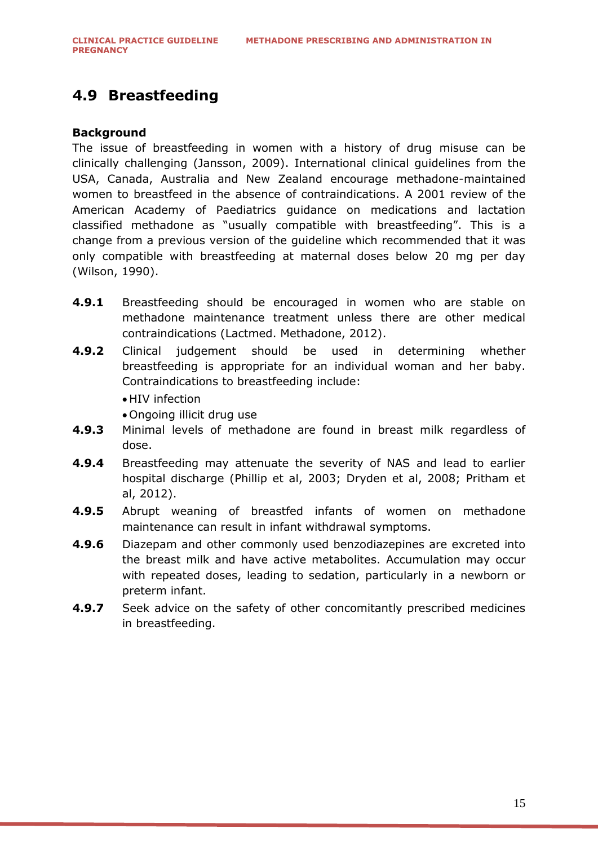## <span id="page-14-0"></span>**4.9 Breastfeeding**

#### **Background**

The issue of breastfeeding in women with a history of drug misuse can be clinically challenging (Jansson, 2009). International clinical guidelines from the USA, Canada, Australia and New Zealand encourage methadone-maintained women to breastfeed in the absence of contraindications. A 2001 review of the American Academy of Paediatrics guidance on medications and lactation classified methadone as "usually compatible with breastfeeding". This is a change from a previous version of the guideline which recommended that it was only compatible with breastfeeding at maternal doses below 20 mg per day (Wilson, 1990).

- **4.9.1** Breastfeeding should be encouraged in women who are stable on methadone maintenance treatment unless there are other medical contraindications (Lactmed. Methadone, 2012).
- **4.9.2** Clinical judgement should be used in determining whether breastfeeding is appropriate for an individual woman and her baby. Contraindications to breastfeeding include:
	- HIV infection
	- Ongoing illicit drug use
- **4.9.3** Minimal levels of methadone are found in breast milk regardless of dose.
- **4.9.4** Breastfeeding may attenuate the severity of NAS and lead to earlier hospital discharge (Phillip et al, 2003; Dryden et al, 2008; Pritham et al, 2012).
- **4.9.5** Abrupt weaning of breastfed infants of women on methadone maintenance can result in infant withdrawal symptoms.
- **4.9.6** Diazepam and other commonly used benzodiazepines are excreted into the breast milk and have active metabolites. Accumulation may occur with repeated doses, leading to sedation, particularly in a newborn or preterm infant.
- **4.9.7** Seek advice on the safety of other concomitantly prescribed medicines in breastfeeding.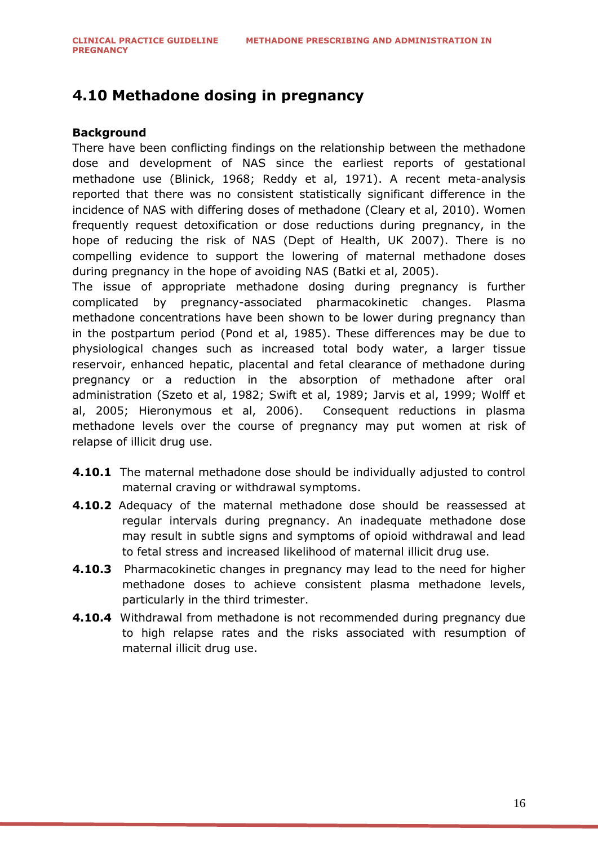## <span id="page-15-0"></span>**4.10 Methadone dosing in pregnancy**

#### **Background**

There have been conflicting findings on the relationship between the methadone dose and development of NAS since the earliest reports of gestational methadone use (Blinick, 1968; Reddy et al, 1971). A recent meta-analysis reported that there was no consistent statistically significant difference in the incidence of NAS with differing doses of methadone (Cleary et al, 2010). Women frequently request detoxification or dose reductions during pregnancy, in the hope of reducing the risk of NAS (Dept of Health, UK 2007). There is no compelling evidence to support the lowering of maternal methadone doses during pregnancy in the hope of avoiding NAS (Batki et al, 2005).

The issue of appropriate methadone dosing during pregnancy is further complicated by pregnancy-associated pharmacokinetic changes. Plasma methadone concentrations have been shown to be lower during pregnancy than in the postpartum period (Pond et al, 1985). These differences may be due to physiological changes such as increased total body water, a larger tissue reservoir, enhanced hepatic, placental and fetal clearance of methadone during pregnancy or a reduction in the absorption of methadone after oral administration (Szeto et al, 1982; Swift et al, 1989; Jarvis et al, 1999; Wolff et al, 2005; Hieronymous et al, 2006). Consequent reductions in plasma methadone levels over the course of pregnancy may put women at risk of relapse of illicit drug use.

- **4.10.1** The maternal methadone dose should be individually adjusted to control maternal craving or withdrawal symptoms.
- **4.10.2** Adequacy of the maternal methadone dose should be reassessed at regular intervals during pregnancy. An inadequate methadone dose may result in subtle signs and symptoms of opioid withdrawal and lead to fetal stress and increased likelihood of maternal illicit drug use.
- **4.10.3** Pharmacokinetic changes in pregnancy may lead to the need for higher methadone doses to achieve consistent plasma methadone levels, particularly in the third trimester.
- **4.10.4** Withdrawal from methadone is not recommended during pregnancy due to high relapse rates and the risks associated with resumption of maternal illicit drug use.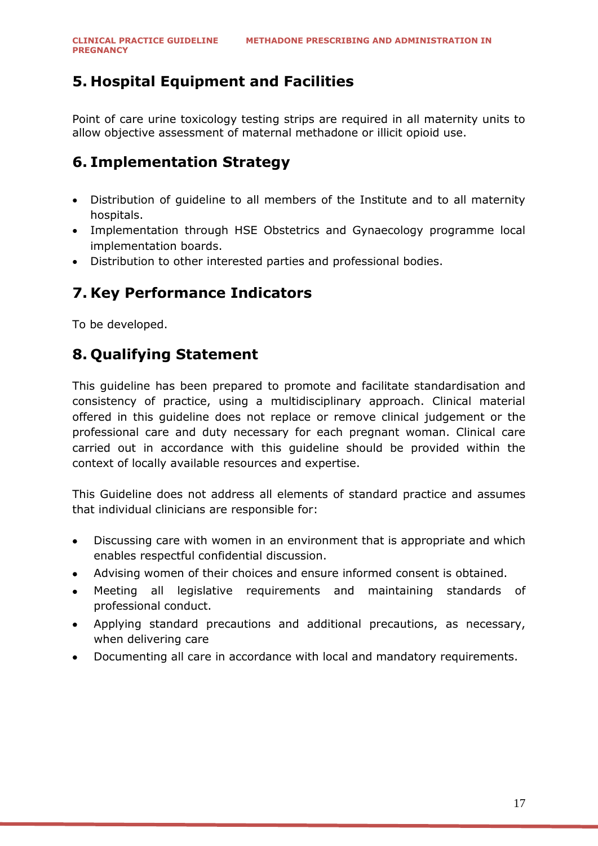## <span id="page-16-0"></span>**5. Hospital Equipment and Facilities**

Point of care urine toxicology testing strips are required in all maternity units to allow objective assessment of maternal methadone or illicit opioid use.

## <span id="page-16-1"></span>**6. Implementation Strategy**

- Distribution of guideline to all members of the Institute and to all maternity hospitals.
- Implementation through HSE Obstetrics and Gynaecology programme local implementation boards.
- Distribution to other interested parties and professional bodies.

### <span id="page-16-2"></span>**7. Key Performance Indicators**

<span id="page-16-3"></span>To be developed.

### **8. Qualifying Statement**

This guideline has been prepared to promote and facilitate standardisation and consistency of practice, using a multidisciplinary approach. Clinical material offered in this guideline does not replace or remove clinical judgement or the professional care and duty necessary for each pregnant woman. Clinical care carried out in accordance with this guideline should be provided within the context of locally available resources and expertise.

This Guideline does not address all elements of standard practice and assumes that individual clinicians are responsible for:

- Discussing care with women in an environment that is appropriate and which enables respectful confidential discussion.
- Advising women of their choices and ensure informed consent is obtained.
- Meeting all legislative requirements and maintaining standards of professional conduct.
- Applying standard precautions and additional precautions, as necessary, when delivering care
- Documenting all care in accordance with local and mandatory requirements.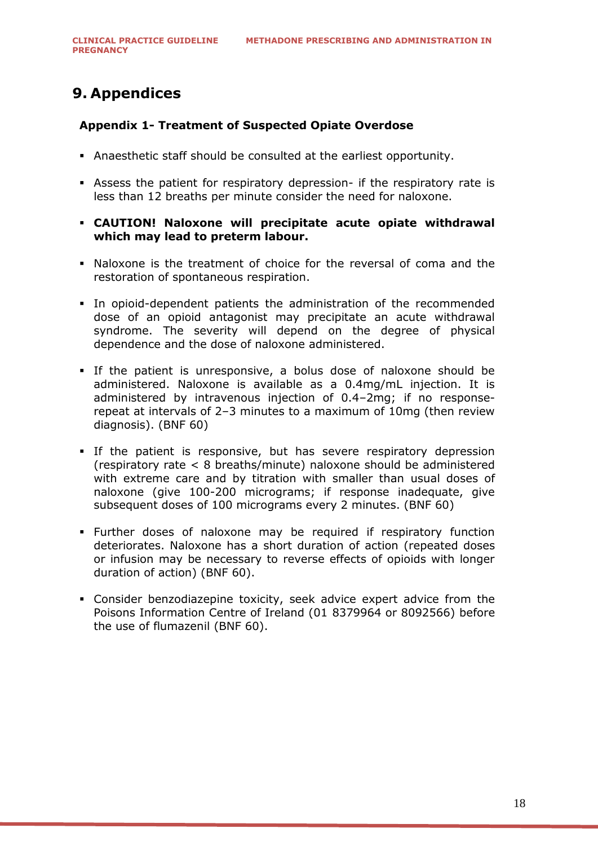## <span id="page-17-0"></span>**9. Appendices**

#### <span id="page-17-1"></span>**Appendix 1- Treatment of Suspected Opiate Overdose**

- Anaesthetic staff should be consulted at the earliest opportunity.
- Assess the patient for respiratory depression- if the respiratory rate is less than 12 breaths per minute consider the need for naloxone.
- **CAUTION! Naloxone will precipitate acute opiate withdrawal which may lead to preterm labour.**
- Naloxone is the treatment of choice for the reversal of coma and the restoration of spontaneous respiration.
- In opioid-dependent patients the administration of the recommended dose of an opioid antagonist may precipitate an acute withdrawal syndrome. The severity will depend on the degree of physical dependence and the dose of naloxone administered.
- If the patient is unresponsive, a bolus dose of naloxone should be administered. Naloxone is available as a 0.4mg/mL injection. It is administered by intravenous injection of 0.4–2mg; if no responserepeat at intervals of 2–3 minutes to a maximum of 10mg (then review diagnosis). (BNF 60)
- If the patient is responsive, but has severe respiratory depression (respiratory rate < 8 breaths/minute) naloxone should be administered with extreme care and by titration with smaller than usual doses of naloxone (give 100-200 micrograms; if response inadequate, give subsequent doses of 100 micrograms every 2 minutes. (BNF 60)
- Further doses of naloxone may be required if respiratory function deteriorates. Naloxone has a short duration of action (repeated doses or infusion may be necessary to reverse effects of opioids with longer duration of action) (BNF 60).
- Consider benzodiazepine toxicity, seek advice expert advice from the Poisons Information Centre of Ireland (01 8379964 or 8092566) before the use of flumazenil (BNF 60).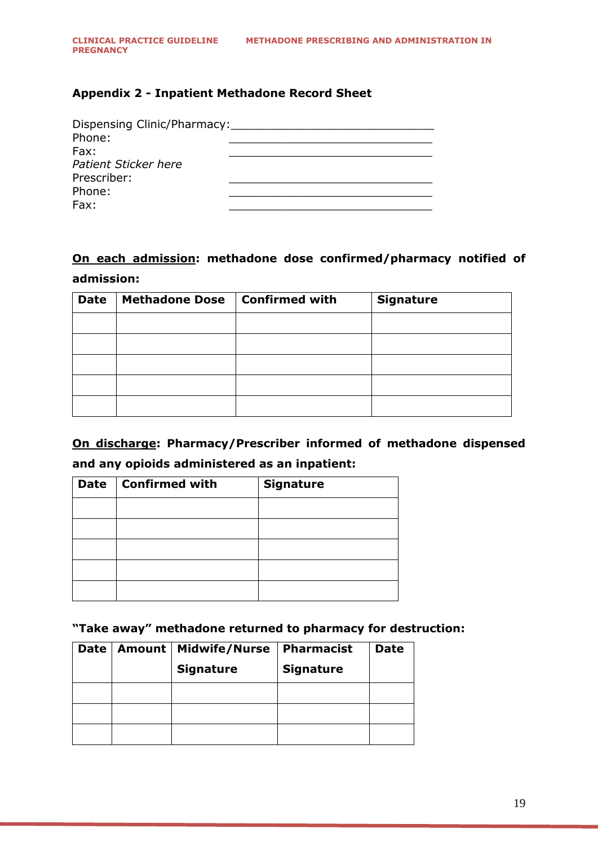#### <span id="page-18-0"></span>**Appendix 2 - Inpatient Methadone Record Sheet**

| Dispensing Clinic/Pharmacy:<br>Phone:<br>Fax: |  |
|-----------------------------------------------|--|
| Patient Sticker here                          |  |
| Prescriber:                                   |  |
| Phone:                                        |  |
| Fax:                                          |  |

### **On each admission: methadone dose confirmed/pharmacy notified of admission:**

| <b>Date</b> | <b>Methadone Dose</b> | <b>Confirmed with</b> | <b>Signature</b> |
|-------------|-----------------------|-----------------------|------------------|
|             |                       |                       |                  |
|             |                       |                       |                  |
|             |                       |                       |                  |
|             |                       |                       |                  |
|             |                       |                       |                  |

**On discharge: Pharmacy/Prescriber informed of methadone dispensed and any opioids administered as an inpatient:**

| <b>Date</b> | <b>Confirmed with</b> | <b>Signature</b> |
|-------------|-----------------------|------------------|
|             |                       |                  |
|             |                       |                  |
|             |                       |                  |
|             |                       |                  |
|             |                       |                  |

**"Take away" methadone returned to pharmacy for destruction:**

| Date | Amount   Midwife/Nurse | Pharmacist       | <b>Date</b> |
|------|------------------------|------------------|-------------|
|      | <b>Signature</b>       | <b>Signature</b> |             |
|      |                        |                  |             |
|      |                        |                  |             |
|      |                        |                  |             |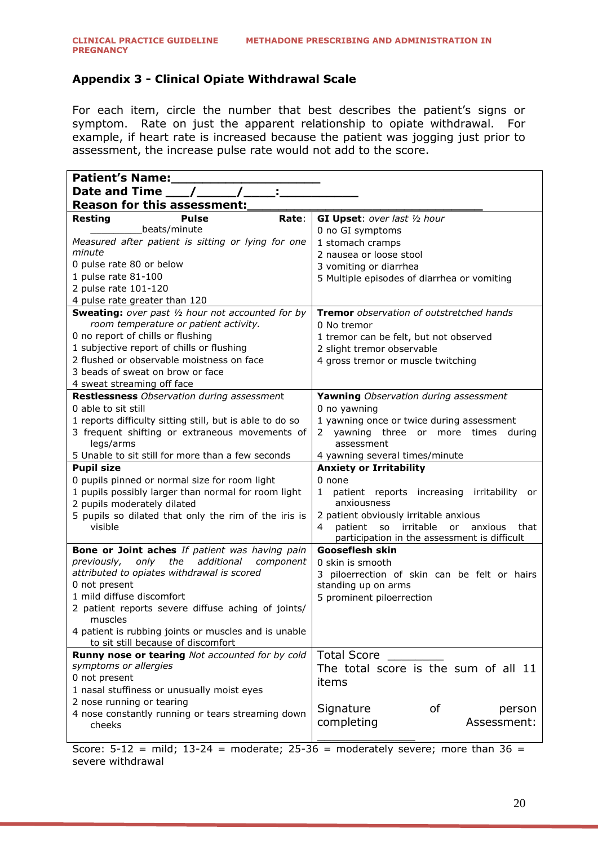#### <span id="page-19-0"></span>**Appendix 3 - Clinical Opiate Withdrawal Scale**

For each item, circle the number that best describes the patient's signs or symptom. Rate on just the apparent relationship to opiate withdrawal. For example, if heart rate is increased because the patient was jogging just prior to assessment, the increase pulse rate would not add to the score.

| <b>Patient's Name:</b>                                                                              |                                                       |  |  |
|-----------------------------------------------------------------------------------------------------|-------------------------------------------------------|--|--|
| Date and Time $\_\_\_\_\_\_\_$                                                                      |                                                       |  |  |
| <b>Reason for this assessment:</b>                                                                  |                                                       |  |  |
| Rate:<br><b>Resting</b><br><b>Pulse</b>                                                             | GI Upset: over last 1/2 hour                          |  |  |
| beats/minute_                                                                                       | 0 no GI symptoms                                      |  |  |
| Measured after patient is sitting or lying for one                                                  | 1 stomach cramps                                      |  |  |
| minute                                                                                              | 2 nausea or loose stool                               |  |  |
| 0 pulse rate 80 or below                                                                            | 3 vomiting or diarrhea                                |  |  |
| 1 pulse rate 81-100                                                                                 | 5 Multiple episodes of diarrhea or vomiting           |  |  |
| 2 pulse rate 101-120                                                                                |                                                       |  |  |
| 4 pulse rate greater than 120                                                                       |                                                       |  |  |
| <b>Sweating:</b> over past 1/2 hour not accounted for by                                            | <b>Tremor</b> observation of outstretched hands       |  |  |
| room temperature or patient activity.                                                               | 0 No tremor                                           |  |  |
| 0 no report of chills or flushing                                                                   | 1 tremor can be felt, but not observed                |  |  |
| 1 subjective report of chills or flushing                                                           | 2 slight tremor observable                            |  |  |
| 2 flushed or observable moistness on face                                                           | 4 gross tremor or muscle twitching                    |  |  |
| 3 beads of sweat on brow or face                                                                    |                                                       |  |  |
| 4 sweat streaming off face                                                                          |                                                       |  |  |
| <b>Restlessness</b> Observation during assessment                                                   | Yawning Observation during assessment                 |  |  |
| 0 able to sit still                                                                                 | 0 no yawning                                          |  |  |
| 1 reports difficulty sitting still, but is able to do so                                            | 1 yawning once or twice during assessment             |  |  |
| 3 frequent shifting or extraneous movements of                                                      | yawning three or more times<br>during<br>2            |  |  |
| legs/arms                                                                                           | assessment                                            |  |  |
| 5 Unable to sit still for more than a few seconds                                                   | 4 yawning several times/minute                        |  |  |
| <b>Pupil size</b>                                                                                   | <b>Anxiety or Irritability</b>                        |  |  |
| 0 pupils pinned or normal size for room light                                                       | 0 none                                                |  |  |
| 1 pupils possibly larger than normal for room light                                                 | patient reports increasing<br>irritability<br>1<br>or |  |  |
| 2 pupils moderately dilated                                                                         | anxiousness                                           |  |  |
| 5 pupils so dilated that only the rim of the iris is                                                | 2 patient obviously irritable anxious                 |  |  |
| visible                                                                                             | irritable<br>patient so<br>or<br>anxious<br>that<br>4 |  |  |
|                                                                                                     | participation in the assessment is difficult          |  |  |
| Bone or Joint aches If patient was having pain                                                      | <b>Gooseflesh skin</b>                                |  |  |
| the<br>additional<br>previously,<br>only<br>component<br>attributed to opiates withdrawal is scored | 0 skin is smooth                                      |  |  |
| 0 not present                                                                                       | 3 piloerrection of skin can be felt or hairs          |  |  |
| 1 mild diffuse discomfort                                                                           | standing up on arms                                   |  |  |
| 2 patient reports severe diffuse aching of joints/                                                  | 5 prominent piloerrection                             |  |  |
| muscles                                                                                             |                                                       |  |  |
| 4 patient is rubbing joints or muscles and is unable                                                |                                                       |  |  |
| to sit still because of discomfort                                                                  |                                                       |  |  |
| Runny nose or tearing Not accounted for by cold                                                     | <b>Total Score</b>                                    |  |  |
| symptoms or allergies                                                                               | The total score is the sum of all 11                  |  |  |
| 0 not present                                                                                       | items                                                 |  |  |
| 1 nasal stuffiness or unusually moist eyes                                                          |                                                       |  |  |
| 2 nose running or tearing                                                                           | Signature<br>οf                                       |  |  |
| 4 nose constantly running or tears streaming down                                                   | person<br>Assessment:                                 |  |  |
| cheeks                                                                                              | completing                                            |  |  |
|                                                                                                     |                                                       |  |  |

Score:  $5-12$  = mild;  $13-24$  = moderate;  $25-36$  = moderately severe; more than  $36$  = severe withdrawal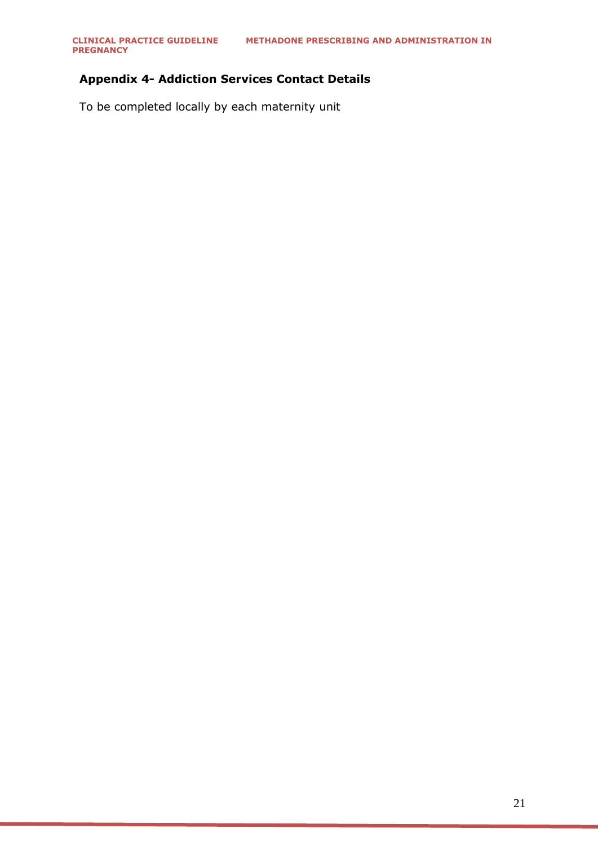#### <span id="page-20-0"></span>**Appendix 4- Addiction Services Contact Details**

To be completed locally by each maternity unit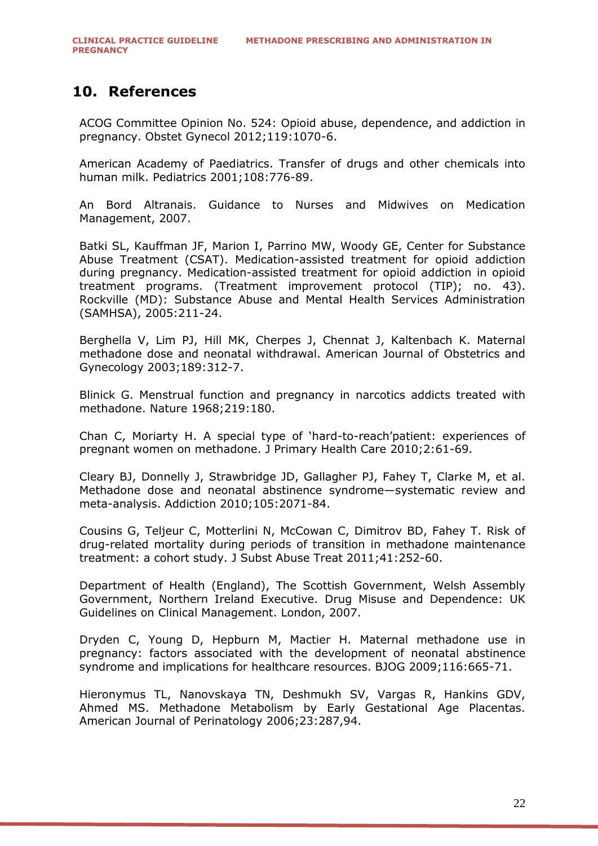### <span id="page-21-0"></span>**10. References**

ACOG Committee Opinion No. 524: Opioid abuse, dependence, and addiction in pregnancy. Obstet Gynecol 2012;119:1070-6.

American Academy of Paediatrics. Transfer of drugs and other chemicals into human milk. Pediatrics 2001;108:776-89.

An Bord Altranais. Guidance to Nurses and Midwives on Medication Management, 2007.

Batki SL, Kauffman JF, Marion I, Parrino MW, Woody GE, Center for Substance Abuse Treatment (CSAT). Medication-assisted treatment for opioid addiction during pregnancy. Medication-assisted treatment for opioid addiction in opioid treatment programs. (Treatment improvement protocol (TIP); no. 43). Rockville (MD): Substance Abuse and Mental Health Services Administration (SAMHSA), 2005:211-24.

Berghella V, Lim PJ, Hill MK, Cherpes J, Chennat J, Kaltenbach K. Maternal methadone dose and neonatal withdrawal. American Journal of Obstetrics and Gynecology 2003;189:312-7.

Blinick G. Menstrual function and pregnancy in narcotics addicts treated with methadone. Nature 1968;219:180.

Chan C, Moriarty H. A special type of 'hard-to-reach'patient: experiences of pregnant women on methadone. J Primary Health Care 2010;2:61-69.

Cleary BJ, Donnelly J, Strawbridge JD, Gallagher PJ, Fahey T, Clarke M, et al. Methadone dose and neonatal abstinence syndrome—systematic review and meta-analysis. Addiction 2010;105:2071-84.

Cousins G, Teljeur C, Motterlini N, McCowan C, Dimitrov BD, Fahey T. Risk of drug-related mortality during periods of transition in methadone maintenance treatment: a cohort study. J Subst Abuse Treat 2011;41:252-60.

Department of Health (England), The Scottish Government, Welsh Assembly Government, Northern Ireland Executive. Drug Misuse and Dependence: UK Guidelines on Clinical Management. London, 2007.

Dryden C, Young D, Hepburn M, Mactier H. Maternal methadone use in pregnancy: factors associated with the development of neonatal abstinence syndrome and implications for healthcare resources. BJOG 2009;116:665-71.

Hieronymus TL, Nanovskaya TN, Deshmukh SV, Vargas R, Hankins GDV, Ahmed MS. Methadone Metabolism by Early Gestational Age Placentas. American Journal of Perinatology 2006;23:287,94.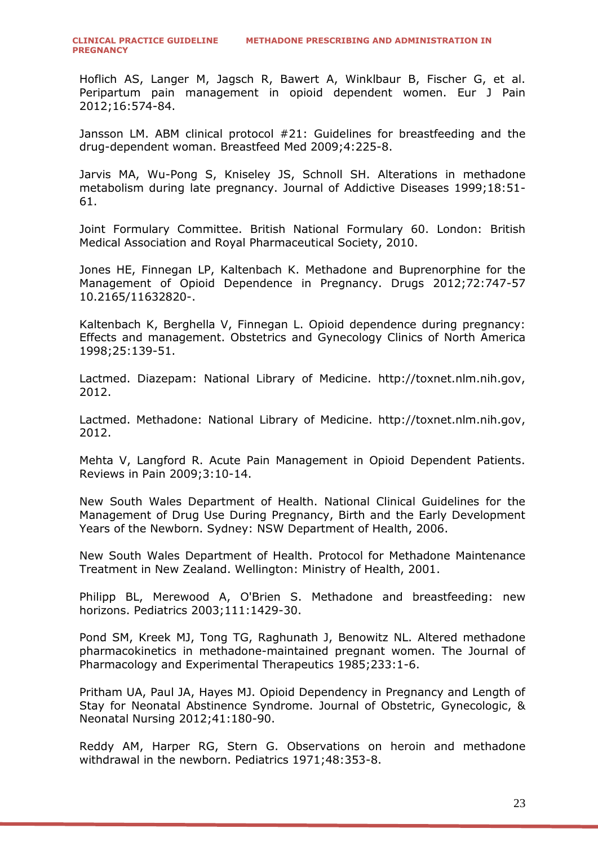Hoflich AS, Langer M, Jagsch R, Bawert A, Winklbaur B, Fischer G, et al. Peripartum pain management in opioid dependent women. Eur J Pain 2012;16:574-84.

Jansson LM. ABM clinical protocol #21: Guidelines for breastfeeding and the drug-dependent woman. Breastfeed Med 2009;4:225-8.

Jarvis MA, Wu-Pong S, Kniseley JS, Schnoll SH. Alterations in methadone metabolism during late pregnancy. Journal of Addictive Diseases 1999;18:51- 61.

Joint Formulary Committee. British National Formulary 60. London: British Medical Association and Royal Pharmaceutical Society, 2010.

Jones HE, Finnegan LP, Kaltenbach K. Methadone and Buprenorphine for the Management of Opioid Dependence in Pregnancy. Drugs 2012;72:747-57 10.2165/11632820-.

Kaltenbach K, Berghella V, Finnegan L. Opioid dependence during pregnancy: Effects and management. Obstetrics and Gynecology Clinics of North America 1998;25:139-51.

Lactmed. Diazepam: National Library of Medicine. http://toxnet.nlm.nih.gov, 2012.

Lactmed. Methadone: National Library of Medicine. http://toxnet.nlm.nih.gov, 2012.

Mehta V, Langford R. Acute Pain Management in Opioid Dependent Patients. Reviews in Pain 2009;3:10-14.

New South Wales Department of Health. National Clinical Guidelines for the Management of Drug Use During Pregnancy, Birth and the Early Development Years of the Newborn. Sydney: NSW Department of Health, 2006.

New South Wales Department of Health. Protocol for Methadone Maintenance Treatment in New Zealand. Wellington: Ministry of Health, 2001.

Philipp BL, Merewood A, O'Brien S. Methadone and breastfeeding: new horizons. Pediatrics 2003;111:1429-30.

Pond SM, Kreek MJ, Tong TG, Raghunath J, Benowitz NL. Altered methadone pharmacokinetics in methadone-maintained pregnant women. The Journal of Pharmacology and Experimental Therapeutics 1985;233:1-6.

Pritham UA, Paul JA, Hayes MJ. Opioid Dependency in Pregnancy and Length of Stay for Neonatal Abstinence Syndrome. Journal of Obstetric, Gynecologic, & Neonatal Nursing 2012;41:180-90.

Reddy AM, Harper RG, Stern G. Observations on heroin and methadone withdrawal in the newborn. Pediatrics 1971;48:353-8.